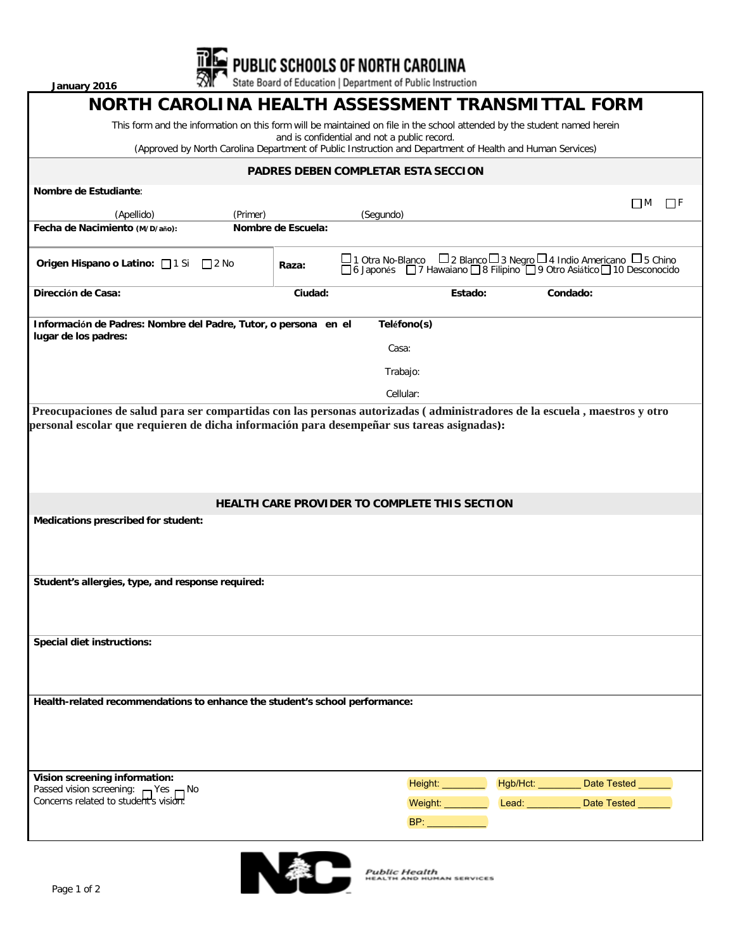**January 2016**

**THE PUBLIC SCHOOLS OF NORTH CAROLINA**<br>**We State Board of Education | Department of Public Instruction** 

| NORTH CAROLINA HEALTH ASSESSMENT TRANSMITTAL FORM                                                                                                         |                        |                                               |                   |                                                                                                                                                  |  |  |  |  |  |
|-----------------------------------------------------------------------------------------------------------------------------------------------------------|------------------------|-----------------------------------------------|-------------------|--------------------------------------------------------------------------------------------------------------------------------------------------|--|--|--|--|--|
| This form and the information on this form will be maintained on file in the school attended by the student named herein                                  |                        |                                               |                   |                                                                                                                                                  |  |  |  |  |  |
| and is confidential and not a public record.<br>(Approved by North Carolina Department of Public Instruction and Department of Health and Human Services) |                        |                                               |                   |                                                                                                                                                  |  |  |  |  |  |
| PADRES DEBEN COMPLETAR ESTA SECCION                                                                                                                       |                        |                                               |                   |                                                                                                                                                  |  |  |  |  |  |
| Nombre de Estudiante:                                                                                                                                     |                        |                                               |                   |                                                                                                                                                  |  |  |  |  |  |
| (Apellido)<br>(Primer)                                                                                                                                    |                        | (Segundo)                                     |                   | $\Box$ F<br>ПM                                                                                                                                   |  |  |  |  |  |
| Fecha de Nacimiento (M/D/año):                                                                                                                            | Nombre de Escuela:     |                                               |                   |                                                                                                                                                  |  |  |  |  |  |
| <b>Origen Hispano o Latino:</b> 1 Si 2 No                                                                                                                 | Raza:                  |                                               |                   | □1 Otra No-Blanco □ 2 Blanco □ 3 Negro □ 4 Indio Americano □ 5 Chino<br>□ 6 Japonés □ 7 Hawaiano □ 8 Filipino □ 9 Otro Asiático □ 10 Desconocido |  |  |  |  |  |
| Dirección de Casa:                                                                                                                                        | Ciudad:                | Estado:                                       |                   | Condado:                                                                                                                                         |  |  |  |  |  |
| Información de Padres: Nombre del Padre, Tutor, o persona en el<br>Teléfono(s)                                                                            |                        |                                               |                   |                                                                                                                                                  |  |  |  |  |  |
| lugar de los padres:                                                                                                                                      |                        | Casa:                                         |                   |                                                                                                                                                  |  |  |  |  |  |
|                                                                                                                                                           |                        | Trabajo:                                      |                   |                                                                                                                                                  |  |  |  |  |  |
|                                                                                                                                                           |                        | Cellular:                                     |                   |                                                                                                                                                  |  |  |  |  |  |
| Preocupaciones de salud para ser compartidas con las personas autorizadas (administradores de la escuela, maestros y otro                                 |                        |                                               |                   |                                                                                                                                                  |  |  |  |  |  |
| personal escolar que requieren de dicha información para desempeñar sus tareas asignadas):                                                                |                        |                                               |                   |                                                                                                                                                  |  |  |  |  |  |
|                                                                                                                                                           |                        |                                               |                   |                                                                                                                                                  |  |  |  |  |  |
|                                                                                                                                                           |                        |                                               |                   |                                                                                                                                                  |  |  |  |  |  |
|                                                                                                                                                           |                        |                                               |                   |                                                                                                                                                  |  |  |  |  |  |
|                                                                                                                                                           |                        | HEALTH CARE PROVIDER TO COMPLETE THIS SECTION |                   |                                                                                                                                                  |  |  |  |  |  |
| Medications prescribed for student:                                                                                                                       |                        |                                               |                   |                                                                                                                                                  |  |  |  |  |  |
|                                                                                                                                                           |                        |                                               |                   |                                                                                                                                                  |  |  |  |  |  |
| Student's allergies, type, and response required:                                                                                                         |                        |                                               |                   |                                                                                                                                                  |  |  |  |  |  |
|                                                                                                                                                           |                        |                                               |                   |                                                                                                                                                  |  |  |  |  |  |
|                                                                                                                                                           |                        |                                               |                   |                                                                                                                                                  |  |  |  |  |  |
| Special diet instructions:                                                                                                                                |                        |                                               |                   |                                                                                                                                                  |  |  |  |  |  |
|                                                                                                                                                           |                        |                                               |                   |                                                                                                                                                  |  |  |  |  |  |
|                                                                                                                                                           |                        |                                               |                   |                                                                                                                                                  |  |  |  |  |  |
| Health-related recommendations to enhance the student's school performance:                                                                               |                        |                                               |                   |                                                                                                                                                  |  |  |  |  |  |
|                                                                                                                                                           |                        |                                               |                   |                                                                                                                                                  |  |  |  |  |  |
|                                                                                                                                                           |                        |                                               |                   |                                                                                                                                                  |  |  |  |  |  |
|                                                                                                                                                           |                        |                                               |                   |                                                                                                                                                  |  |  |  |  |  |
| Vision screening information:                                                                                                                             |                        | Height: <b>Height:</b>                        | Hgb/Hct: ________ | <b>Date Tested</b>                                                                                                                               |  |  |  |  |  |
| Passed vision screening: Pes DNo<br>Concerns related to student's vision:                                                                                 | <b>Weight:</b> Weight: |                                               |                   | Lead: <b>No. 1999</b><br><b>Date Tested</b>                                                                                                      |  |  |  |  |  |
|                                                                                                                                                           |                        | BP:                                           |                   |                                                                                                                                                  |  |  |  |  |  |
|                                                                                                                                                           |                        |                                               |                   |                                                                                                                                                  |  |  |  |  |  |



Public Health<br>HEALTH AND HUMAN SERVICES